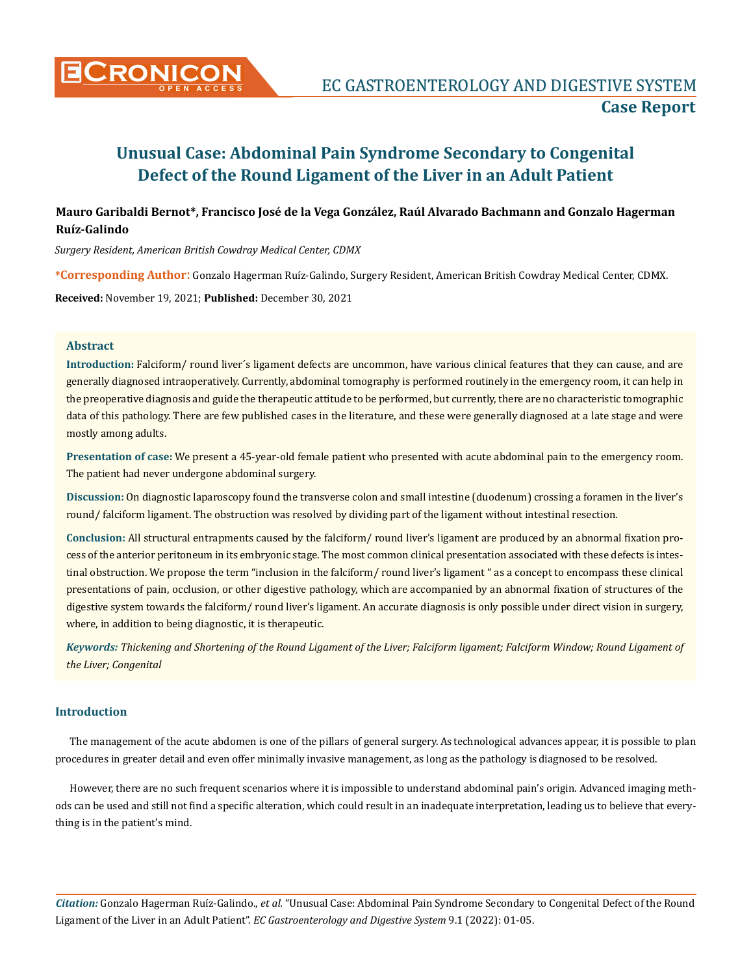

# **Mauro Garibaldi Bernot\*, Francisco José de la Vega González, Raúl Alvarado Bachmann and Gonzalo Hagerman Ruíz-Galindo**

*Surgery Resident, American British Cowdray Medical Center, CDMX*

**\*Corresponding Author**: Gonzalo Hagerman Ruíz-Galindo, Surgery Resident, American British Cowdray Medical Center, CDMX.

**Received:** November 19, 2021; **Published:** December 30, 2021

#### **Abstract**

**Introduction:** Falciform/ round liver´s ligament defects are uncommon, have various clinical features that they can cause, and are generally diagnosed intraoperatively. Currently, abdominal tomography is performed routinely in the emergency room, it can help in the preoperative diagnosis and guide the therapeutic attitude to be performed, but currently, there are no characteristic tomographic data of this pathology. There are few published cases in the literature, and these were generally diagnosed at a late stage and were mostly among adults.

**Presentation of case:** We present a 45-year-old female patient who presented with acute abdominal pain to the emergency room. The patient had never undergone abdominal surgery.

**Discussion:** On diagnostic laparoscopy found the transverse colon and small intestine (duodenum) crossing a foramen in the liver's round/ falciform ligament. The obstruction was resolved by dividing part of the ligament without intestinal resection.

**Conclusion:** All structural entrapments caused by the falciform/ round liver's ligament are produced by an abnormal fixation process of the anterior peritoneum in its embryonic stage. The most common clinical presentation associated with these defects is intestinal obstruction. We propose the term "inclusion in the falciform/ round liver's ligament " as a concept to encompass these clinical presentations of pain, occlusion, or other digestive pathology, which are accompanied by an abnormal fixation of structures of the digestive system towards the falciform/ round liver's ligament. An accurate diagnosis is only possible under direct vision in surgery, where, in addition to being diagnostic, it is therapeutic.

*Keywords: Thickening and Shortening of the Round Ligament of the Liver; Falciform ligament; Falciform Window; Round Ligament of the Liver; Congenital*

# **Introduction**

The management of the acute abdomen is one of the pillars of general surgery. As technological advances appear, it is possible to plan procedures in greater detail and even offer minimally invasive management, as long as the pathology is diagnosed to be resolved.

However, there are no such frequent scenarios where it is impossible to understand abdominal pain's origin. Advanced imaging methods can be used and still not find a specific alteration, which could result in an inadequate interpretation, leading us to believe that everything is in the patient's mind.

*Citation:* Gonzalo Hagerman Ruíz-Galindo., *et al.* "Unusual Case: Abdominal Pain Syndrome Secondary to Congenital Defect of the Round Ligament of the Liver in an Adult Patient". *EC Gastroenterology and Digestive System* 9.1 (2022): 01-05.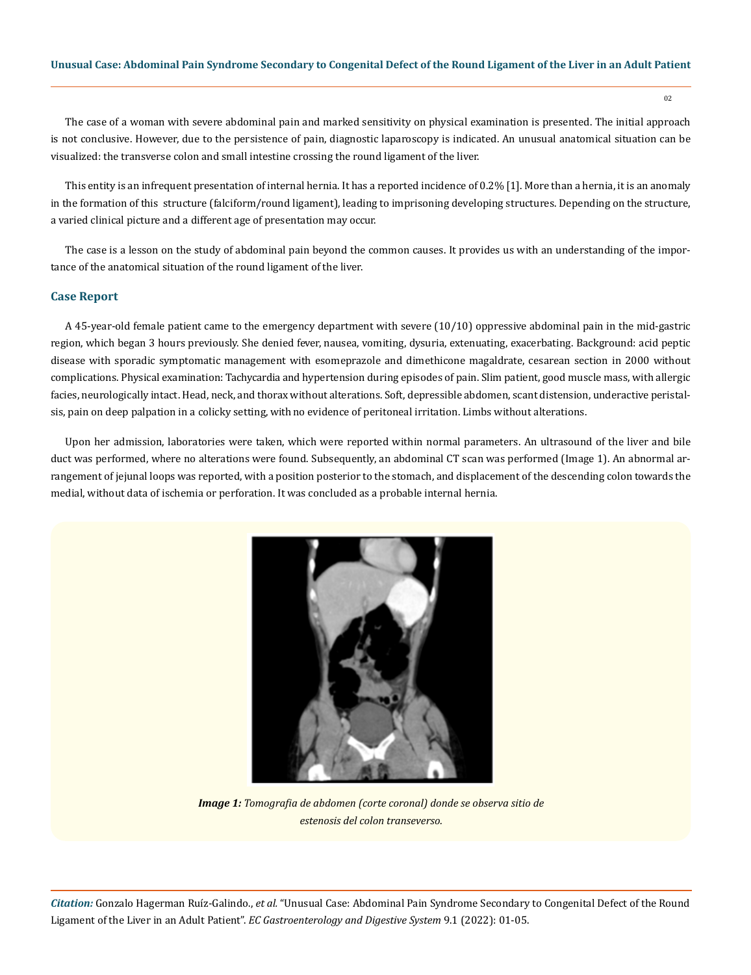$02$ 

The case of a woman with severe abdominal pain and marked sensitivity on physical examination is presented. The initial approach is not conclusive. However, due to the persistence of pain, diagnostic laparoscopy is indicated. An unusual anatomical situation can be visualized: the transverse colon and small intestine crossing the round ligament of the liver.

This entity is an infrequent presentation of internal hernia. It has a reported incidence of 0.2% [1]. More than a hernia, it is an anomaly in the formation of this structure (falciform/round ligament), leading to imprisoning developing structures. Depending on the structure, a varied clinical picture and a different age of presentation may occur.

The case is a lesson on the study of abdominal pain beyond the common causes. It provides us with an understanding of the importance of the anatomical situation of the round ligament of the liver.

#### **Case Report**

A 45-year-old female patient came to the emergency department with severe (10/10) oppressive abdominal pain in the mid-gastric region, which began 3 hours previously. She denied fever, nausea, vomiting, dysuria, extenuating, exacerbating. Background: acid peptic disease with sporadic symptomatic management with esomeprazole and dimethicone magaldrate, cesarean section in 2000 without complications. Physical examination: Tachycardia and hypertension during episodes of pain. Slim patient, good muscle mass, with allergic facies, neurologically intact. Head, neck, and thorax without alterations. Soft, depressible abdomen, scant distension, underactive peristalsis, pain on deep palpation in a colicky setting, with no evidence of peritoneal irritation. Limbs without alterations.

Upon her admission, laboratories were taken, which were reported within normal parameters. An ultrasound of the liver and bile duct was performed, where no alterations were found. Subsequently, an abdominal CT scan was performed (Image 1). An abnormal arrangement of jejunal loops was reported, with a position posterior to the stomach, and displacement of the descending colon towards the medial, without data of ischemia or perforation. It was concluded as a probable internal hernia.



*Image 1: Tomografia de abdomen (corte coronal) donde se observa sitio de estenosis del colon transeverso.*

*Citation:* Gonzalo Hagerman Ruíz-Galindo., *et al.* "Unusual Case: Abdominal Pain Syndrome Secondary to Congenital Defect of the Round Ligament of the Liver in an Adult Patient". *EC Gastroenterology and Digestive System* 9.1 (2022): 01-05.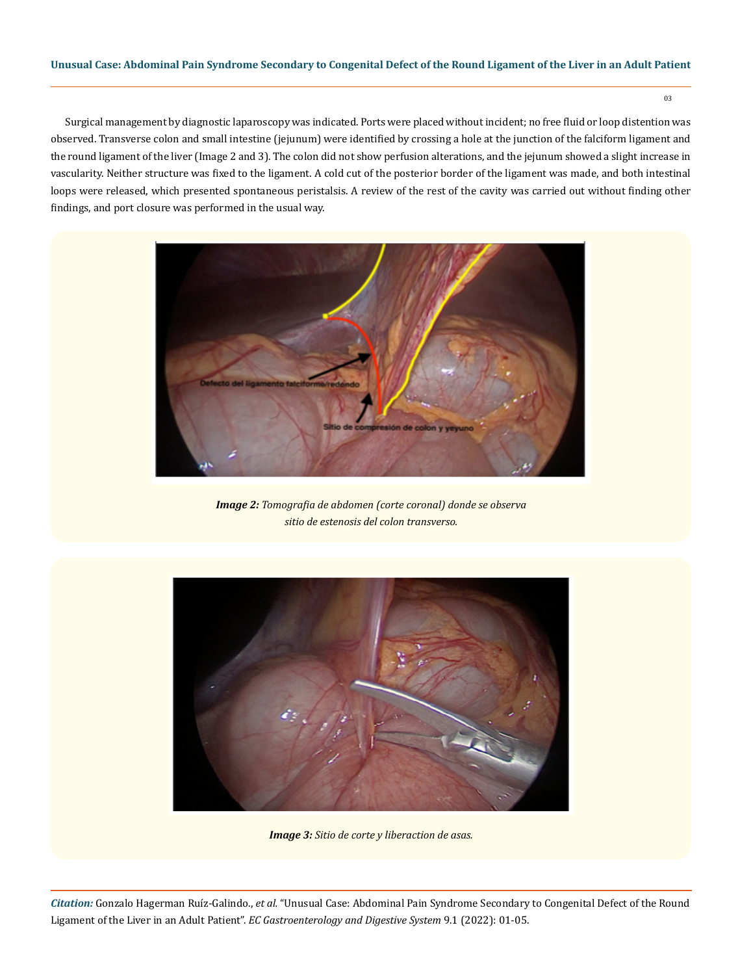03

Surgical management by diagnostic laparoscopy was indicated. Ports were placed without incident; no free fluid or loop distention was observed. Transverse colon and small intestine (jejunum) were identified by crossing a hole at the junction of the falciform ligament and the round ligament of the liver (Image 2 and 3). The colon did not show perfusion alterations, and the jejunum showed a slight increase in vascularity. Neither structure was fixed to the ligament. A cold cut of the posterior border of the ligament was made, and both intestinal loops were released, which presented spontaneous peristalsis. A review of the rest of the cavity was carried out without finding other findings, and port closure was performed in the usual way.



*Image 2: Tomografia de abdomen (corte coronal) donde se observa sitio de estenosis del colon transverso.*



*Image 3: Sitio de corte y liberaction de asas.*

*Citation:* Gonzalo Hagerman Ruíz-Galindo., *et al.* "Unusual Case: Abdominal Pain Syndrome Secondary to Congenital Defect of the Round Ligament of the Liver in an Adult Patient". *EC Gastroenterology and Digestive System* 9.1 (2022): 01-05.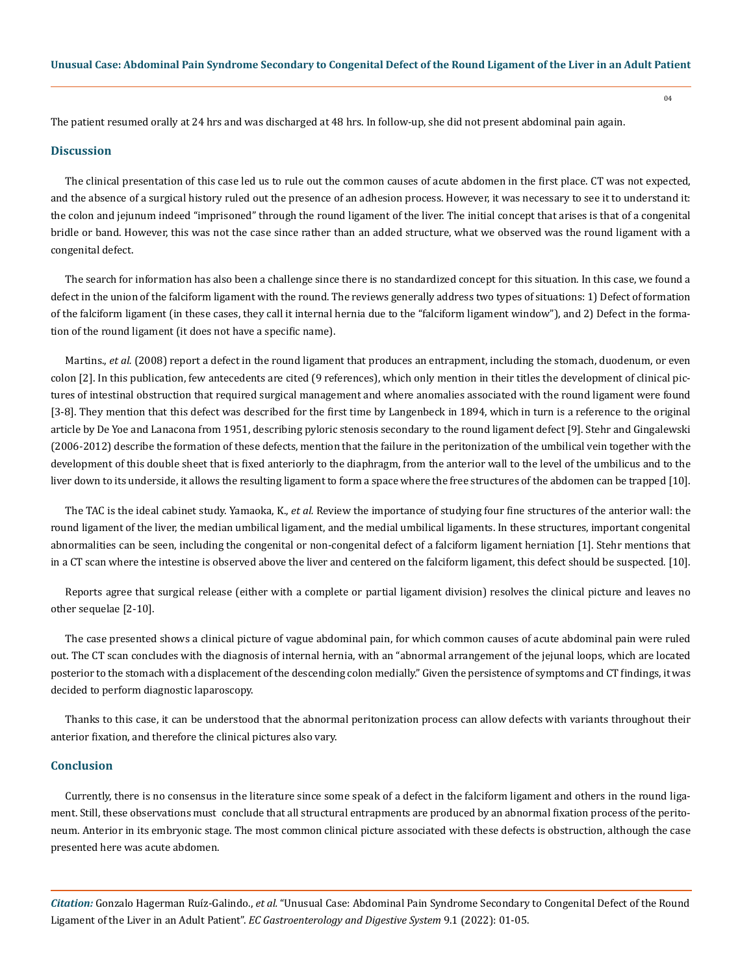The patient resumed orally at 24 hrs and was discharged at 48 hrs. In follow-up, she did not present abdominal pain again.

#### **Discussion**

The clinical presentation of this case led us to rule out the common causes of acute abdomen in the first place. CT was not expected, and the absence of a surgical history ruled out the presence of an adhesion process. However, it was necessary to see it to understand it: the colon and jejunum indeed "imprisoned" through the round ligament of the liver. The initial concept that arises is that of a congenital bridle or band. However, this was not the case since rather than an added structure, what we observed was the round ligament with a congenital defect.

The search for information has also been a challenge since there is no standardized concept for this situation. In this case, we found a defect in the union of the falciform ligament with the round. The reviews generally address two types of situations: 1) Defect of formation of the falciform ligament (in these cases, they call it internal hernia due to the "falciform ligament window"), and 2) Defect in the formation of the round ligament (it does not have a specific name).

Martins., *et al.* (2008) report a defect in the round ligament that produces an entrapment, including the stomach, duodenum, or even colon [2]. In this publication, few antecedents are cited (9 references), which only mention in their titles the development of clinical pictures of intestinal obstruction that required surgical management and where anomalies associated with the round ligament were found [3-8]. They mention that this defect was described for the first time by Langenbeck in 1894, which in turn is a reference to the original article by De Yoe and Lanacona from 1951, describing pyloric stenosis secondary to the round ligament defect [9]. Stehr and Gingalewski (2006-2012) describe the formation of these defects, mention that the failure in the peritonization of the umbilical vein together with the development of this double sheet that is fixed anteriorly to the diaphragm, from the anterior wall to the level of the umbilicus and to the liver down to its underside, it allows the resulting ligament to form a space where the free structures of the abdomen can be trapped [10].

The TAC is the ideal cabinet study. Yamaoka, K., *et al.* Review the importance of studying four fine structures of the anterior wall: the round ligament of the liver, the median umbilical ligament, and the medial umbilical ligaments. In these structures, important congenital abnormalities can be seen, including the congenital or non-congenital defect of a falciform ligament herniation [1]. Stehr mentions that in a CT scan where the intestine is observed above the liver and centered on the falciform ligament, this defect should be suspected. [10].

Reports agree that surgical release (either with a complete or partial ligament division) resolves the clinical picture and leaves no other sequelae [2-10].

The case presented shows a clinical picture of vague abdominal pain, for which common causes of acute abdominal pain were ruled out. The CT scan concludes with the diagnosis of internal hernia, with an "abnormal arrangement of the jejunal loops, which are located posterior to the stomach with a displacement of the descending colon medially." Given the persistence of symptoms and CT findings, it was decided to perform diagnostic laparoscopy.

Thanks to this case, it can be understood that the abnormal peritonization process can allow defects with variants throughout their anterior fixation, and therefore the clinical pictures also vary.

#### **Conclusion**

Currently, there is no consensus in the literature since some speak of a defect in the falciform ligament and others in the round ligament. Still, these observations must conclude that all structural entrapments are produced by an abnormal fixation process of the peritoneum. Anterior in its embryonic stage. The most common clinical picture associated with these defects is obstruction, although the case presented here was acute abdomen.

*Citation:* Gonzalo Hagerman Ruíz-Galindo., *et al.* "Unusual Case: Abdominal Pain Syndrome Secondary to Congenital Defect of the Round Ligament of the Liver in an Adult Patient". *EC Gastroenterology and Digestive System* 9.1 (2022): 01-05.

04